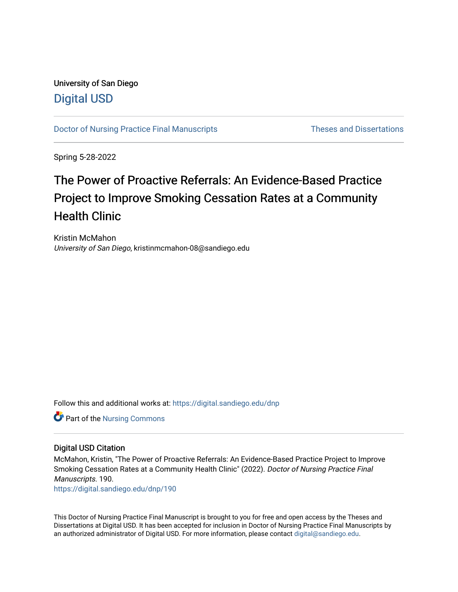# University of San Diego [Digital USD](https://digital.sandiego.edu/)

[Doctor of Nursing Practice Final Manuscripts](https://digital.sandiego.edu/dnp) Theses and Dissertations

Spring 5-28-2022

# The Power of Proactive Referrals: An Evidence-Based Practice Project to Improve Smoking Cessation Rates at a Community Health Clinic

Kristin McMahon University of San Diego, kristinmcmahon-08@sandiego.edu

Follow this and additional works at: [https://digital.sandiego.edu/dnp](https://digital.sandiego.edu/dnp?utm_source=digital.sandiego.edu%2Fdnp%2F190&utm_medium=PDF&utm_campaign=PDFCoverPages) 

Part of the [Nursing Commons](http://network.bepress.com/hgg/discipline/718?utm_source=digital.sandiego.edu%2Fdnp%2F190&utm_medium=PDF&utm_campaign=PDFCoverPages) 

# Digital USD Citation

McMahon, Kristin, "The Power of Proactive Referrals: An Evidence-Based Practice Project to Improve Smoking Cessation Rates at a Community Health Clinic" (2022). Doctor of Nursing Practice Final Manuscripts. 190.

[https://digital.sandiego.edu/dnp/190](https://digital.sandiego.edu/dnp/190?utm_source=digital.sandiego.edu%2Fdnp%2F190&utm_medium=PDF&utm_campaign=PDFCoverPages) 

This Doctor of Nursing Practice Final Manuscript is brought to you for free and open access by the Theses and Dissertations at Digital USD. It has been accepted for inclusion in Doctor of Nursing Practice Final Manuscripts by an authorized administrator of Digital USD. For more information, please contact [digital@sandiego.edu](mailto:digital@sandiego.edu).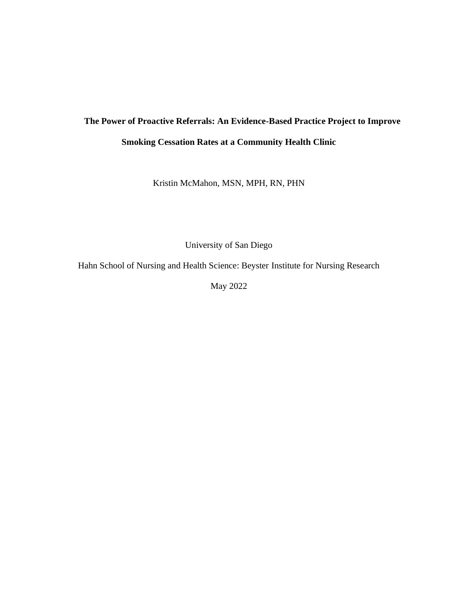# **The Power of Proactive Referrals: An Evidence-Based Practice Project to Improve Smoking Cessation Rates at a Community Health Clinic**

Kristin McMahon, MSN, MPH, RN, PHN

University of San Diego

Hahn School of Nursing and Health Science: Beyster Institute for Nursing Research

May 2022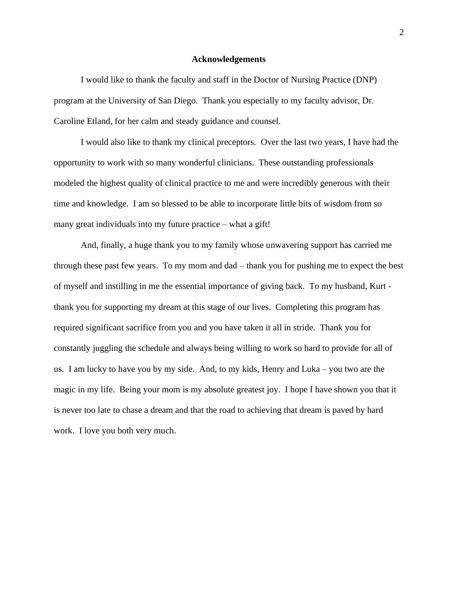#### **Acknowledgements**

I would like to thank the faculty and staff in the Doctor of Nursing Practice (DNP) program at the University of San Diego. Thank you especially to my faculty advisor, Dr. Caroline Etland, for her calm and steady guidance and counsel.

I would also like to thank my clinical preceptors. Over the last two years, I have had the opportunity to work with so many wonderful clinicians. These outstanding professionals modeled the highest quality of clinical practice to me and were incredibly generous with their time and knowledge. I am so blessed to be able to incorporate little bits of wisdom from so many great individuals into my future practice – what a gift!

And, finally, a huge thank you to my family whose unwavering support has carried me through these past few years. To my mom and dad – thank you for pushing me to expect the best of myself and instilling in me the essential importance of giving back. To my husband, Kurt thank you for supporting my dream at this stage of our lives. Completing this program has required significant sacrifice from you and you have taken it all in stride. Thank you for constantly juggling the schedule and always being willing to work so hard to provide for all of us. I am lucky to have you by my side. And, to my kids, Henry and Luka – you two are the magic in my life. Being your mom is my absolute greatest joy. I hope I have shown you that it is never too late to chase a dream and that the road to achieving that dream is paved by hard work. I love you both very much.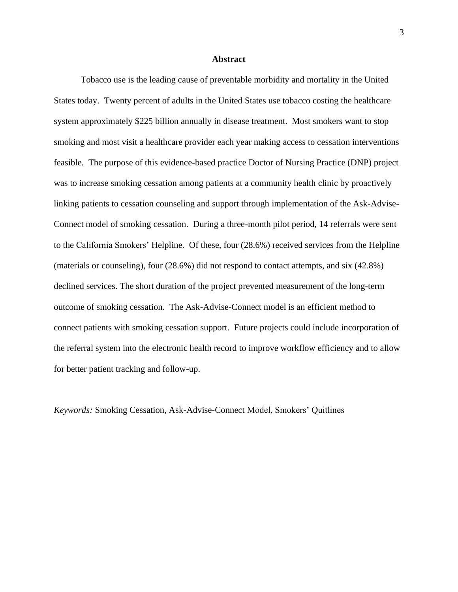#### **Abstract**

Tobacco use is the leading cause of preventable morbidity and mortality in the United States today. Twenty percent of adults in the United States use tobacco costing the healthcare system approximately \$225 billion annually in disease treatment. Most smokers want to stop smoking and most visit a healthcare provider each year making access to cessation interventions feasible. The purpose of this evidence-based practice Doctor of Nursing Practice (DNP) project was to increase smoking cessation among patients at a community health clinic by proactively linking patients to cessation counseling and support through implementation of the Ask-Advise-Connect model of smoking cessation. During a three-month pilot period, 14 referrals were sent to the California Smokers' Helpline. Of these, four (28.6%) received services from the Helpline (materials or counseling), four (28.6%) did not respond to contact attempts, and six (42.8%) declined services. The short duration of the project prevented measurement of the long-term outcome of smoking cessation. The Ask-Advise-Connect model is an efficient method to connect patients with smoking cessation support. Future projects could include incorporation of the referral system into the electronic health record to improve workflow efficiency and to allow for better patient tracking and follow-up.

*Keywords:* Smoking Cessation, Ask-Advise-Connect Model, Smokers' Quitlines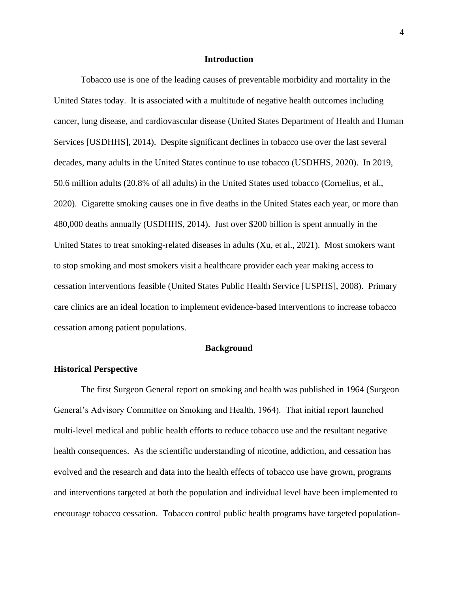#### **Introduction**

Tobacco use is one of the leading causes of preventable morbidity and mortality in the United States today. It is associated with a multitude of negative health outcomes including cancer, lung disease, and cardiovascular disease (United States Department of Health and Human Services [USDHHS], 2014). Despite significant declines in tobacco use over the last several decades, many adults in the United States continue to use tobacco (USDHHS, 2020). In 2019, 50.6 million adults (20.8% of all adults) in the United States used tobacco (Cornelius, et al., 2020). Cigarette smoking causes one in five deaths in the United States each year, or more than 480,000 deaths annually (USDHHS, 2014). Just over \$200 billion is spent annually in the United States to treat smoking-related diseases in adults (Xu, et al., 2021). Most smokers want to stop smoking and most smokers visit a healthcare provider each year making access to cessation interventions feasible (United States Public Health Service [USPHS], 2008). Primary care clinics are an ideal location to implement evidence-based interventions to increase tobacco cessation among patient populations.

#### **Background**

#### **Historical Perspective**

The first Surgeon General report on smoking and health was published in 1964 (Surgeon General's Advisory Committee on Smoking and Health, 1964). That initial report launched multi-level medical and public health efforts to reduce tobacco use and the resultant negative health consequences. As the scientific understanding of nicotine, addiction, and cessation has evolved and the research and data into the health effects of tobacco use have grown, programs and interventions targeted at both the population and individual level have been implemented to encourage tobacco cessation. Tobacco control public health programs have targeted population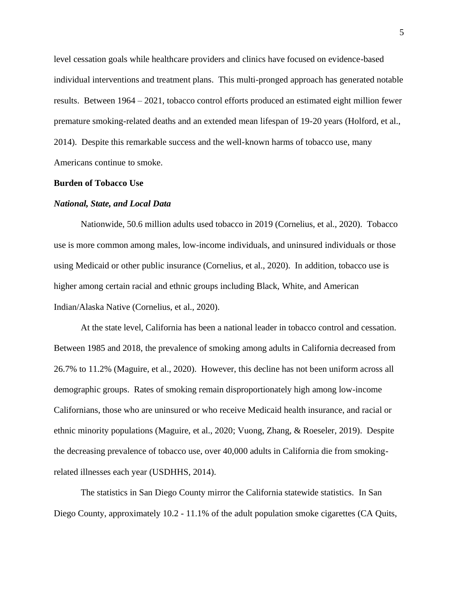level cessation goals while healthcare providers and clinics have focused on evidence-based individual interventions and treatment plans. This multi-pronged approach has generated notable results. Between 1964 – 2021, tobacco control efforts produced an estimated eight million fewer premature smoking-related deaths and an extended mean lifespan of 19-20 years (Holford, et al., 2014). Despite this remarkable success and the well-known harms of tobacco use, many Americans continue to smoke.

#### **Burden of Tobacco Use**

#### *National, State, and Local Data*

Nationwide, 50.6 million adults used tobacco in 2019 (Cornelius, et al., 2020). Tobacco use is more common among males, low-income individuals, and uninsured individuals or those using Medicaid or other public insurance (Cornelius, et al., 2020). In addition, tobacco use is higher among certain racial and ethnic groups including Black, White, and American Indian/Alaska Native (Cornelius, et al., 2020).

At the state level, California has been a national leader in tobacco control and cessation. Between 1985 and 2018, the prevalence of smoking among adults in California decreased from 26.7% to 11.2% (Maguire, et al., 2020). However, this decline has not been uniform across all demographic groups. Rates of smoking remain disproportionately high among low-income Californians, those who are uninsured or who receive Medicaid health insurance, and racial or ethnic minority populations (Maguire, et al., 2020; Vuong, Zhang, & Roeseler, 2019). Despite the decreasing prevalence of tobacco use, over 40,000 adults in California die from smokingrelated illnesses each year (USDHHS, 2014).

The statistics in San Diego County mirror the California statewide statistics. In San Diego County, approximately 10.2 - 11.1% of the adult population smoke cigarettes (CA Quits,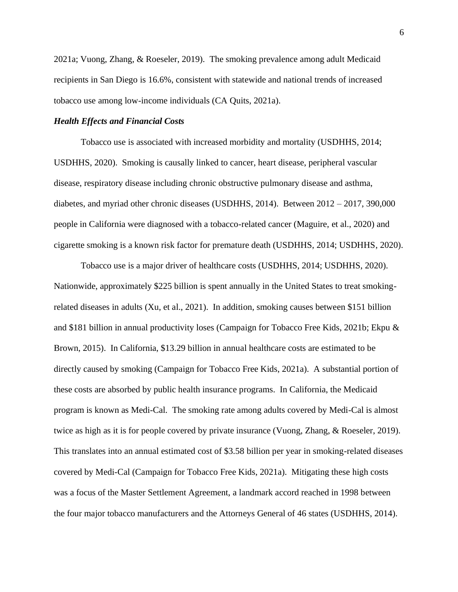2021a; Vuong, Zhang, & Roeseler, 2019). The smoking prevalence among adult Medicaid recipients in San Diego is 16.6%, consistent with statewide and national trends of increased tobacco use among low-income individuals (CA Quits, 2021a).

# *Health Effects and Financial Costs*

Tobacco use is associated with increased morbidity and mortality (USDHHS, 2014; USDHHS, 2020). Smoking is causally linked to cancer, heart disease, peripheral vascular disease, respiratory disease including chronic obstructive pulmonary disease and asthma, diabetes, and myriad other chronic diseases (USDHHS, 2014). Between 2012 – 2017, 390,000 people in California were diagnosed with a tobacco-related cancer (Maguire, et al., 2020) and cigarette smoking is a known risk factor for premature death (USDHHS, 2014; USDHHS, 2020).

Tobacco use is a major driver of healthcare costs (USDHHS, 2014; USDHHS, 2020). Nationwide, approximately \$225 billion is spent annually in the United States to treat smokingrelated diseases in adults (Xu, et al., 2021). In addition, smoking causes between \$151 billion and \$181 billion in annual productivity loses (Campaign for Tobacco Free Kids, 2021b; Ekpu & Brown, 2015). In California, \$13.29 billion in annual healthcare costs are estimated to be directly caused by smoking (Campaign for Tobacco Free Kids, 2021a). A substantial portion of these costs are absorbed by public health insurance programs. In California, the Medicaid program is known as Medi-Cal. The smoking rate among adults covered by Medi-Cal is almost twice as high as it is for people covered by private insurance (Vuong, Zhang, & Roeseler, 2019). This translates into an annual estimated cost of \$3.58 billion per year in smoking-related diseases covered by Medi-Cal (Campaign for Tobacco Free Kids, 2021a). Mitigating these high costs was a focus of the Master Settlement Agreement, a landmark accord reached in 1998 between the four major tobacco manufacturers and the Attorneys General of 46 states (USDHHS, 2014).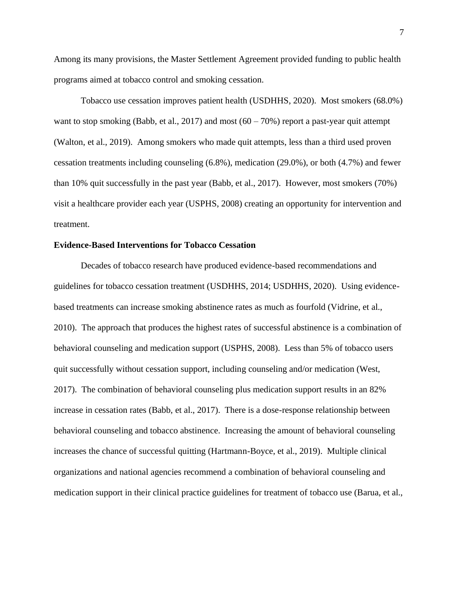Among its many provisions, the Master Settlement Agreement provided funding to public health programs aimed at tobacco control and smoking cessation.

Tobacco use cessation improves patient health (USDHHS, 2020). Most smokers (68.0%) want to stop smoking (Babb, et al., 2017) and most  $(60 - 70%)$  report a past-year quit attempt (Walton, et al., 2019). Among smokers who made quit attempts, less than a third used proven cessation treatments including counseling (6.8%), medication (29.0%), or both (4.7%) and fewer than 10% quit successfully in the past year (Babb, et al., 2017). However, most smokers (70%) visit a healthcare provider each year (USPHS, 2008) creating an opportunity for intervention and treatment.

# **Evidence-Based Interventions for Tobacco Cessation**

Decades of tobacco research have produced evidence-based recommendations and guidelines for tobacco cessation treatment (USDHHS, 2014; USDHHS, 2020). Using evidencebased treatments can increase smoking abstinence rates as much as fourfold (Vidrine, et al., 2010). The approach that produces the highest rates of successful abstinence is a combination of behavioral counseling and medication support (USPHS, 2008). Less than 5% of tobacco users quit successfully without cessation support, including counseling and/or medication (West, 2017). The combination of behavioral counseling plus medication support results in an 82% increase in cessation rates (Babb, et al., 2017). There is a dose-response relationship between behavioral counseling and tobacco abstinence. Increasing the amount of behavioral counseling increases the chance of successful quitting (Hartmann-Boyce, et al., 2019). Multiple clinical organizations and national agencies recommend a combination of behavioral counseling and medication support in their clinical practice guidelines for treatment of tobacco use (Barua, et al.,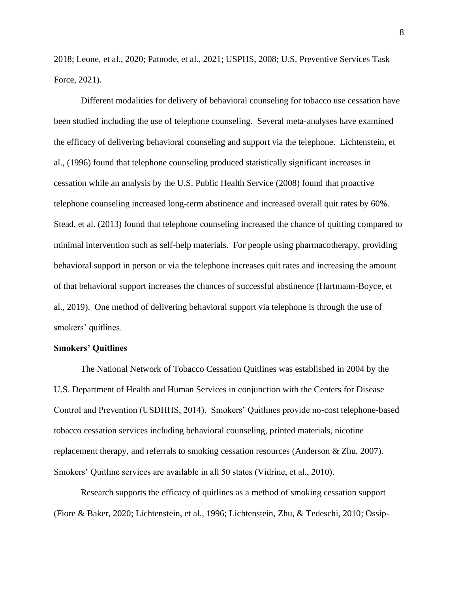2018; Leone, et al., 2020; Patnode, et al., 2021; USPHS, 2008; U.S. Preventive Services Task Force, 2021).

Different modalities for delivery of behavioral counseling for tobacco use cessation have been studied including the use of telephone counseling. Several meta-analyses have examined the efficacy of delivering behavioral counseling and support via the telephone. Lichtenstein, et al., (1996) found that telephone counseling produced statistically significant increases in cessation while an analysis by the U.S. Public Health Service (2008) found that proactive telephone counseling increased long-term abstinence and increased overall quit rates by 60%. Stead, et al. (2013) found that telephone counseling increased the chance of quitting compared to minimal intervention such as self-help materials. For people using pharmacotherapy, providing behavioral support in person or via the telephone increases quit rates and increasing the amount of that behavioral support increases the chances of successful abstinence (Hartmann-Boyce, et al., 2019). One method of delivering behavioral support via telephone is through the use of smokers' quitlines.

#### **Smokers' Quitlines**

The National Network of Tobacco Cessation Quitlines was established in 2004 by the U.S. Department of Health and Human Services in conjunction with the Centers for Disease Control and Prevention (USDHHS, 2014). Smokers' Quitlines provide no-cost telephone-based tobacco cessation services including behavioral counseling, printed materials, nicotine replacement therapy, and referrals to smoking cessation resources (Anderson & Zhu, 2007). Smokers' Quitline services are available in all 50 states (Vidrine, et al., 2010).

Research supports the efficacy of quitlines as a method of smoking cessation support (Fiore & Baker, 2020; Lichtenstein, et al., 1996; Lichtenstein, Zhu, & Tedeschi, 2010; Ossip-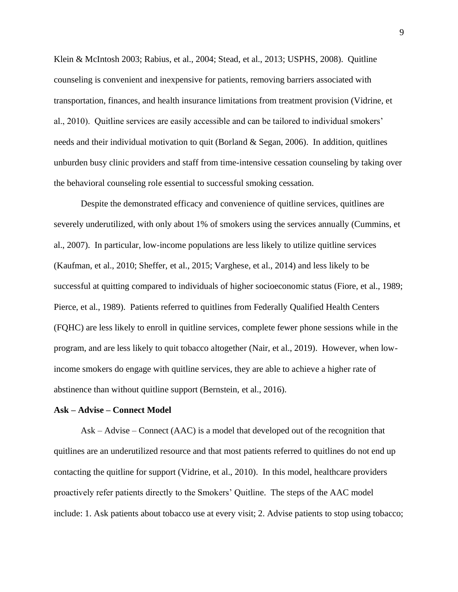Klein & McIntosh 2003; Rabius, et al., 2004; Stead, et al., 2013; USPHS, 2008). Quitline counseling is convenient and inexpensive for patients, removing barriers associated with transportation, finances, and health insurance limitations from treatment provision (Vidrine, et al., 2010). Quitline services are easily accessible and can be tailored to individual smokers' needs and their individual motivation to quit (Borland & Segan, 2006). In addition, quitlines unburden busy clinic providers and staff from time-intensive cessation counseling by taking over the behavioral counseling role essential to successful smoking cessation.

Despite the demonstrated efficacy and convenience of quitline services, quitlines are severely underutilized, with only about 1% of smokers using the services annually (Cummins, et al., 2007). In particular, low-income populations are less likely to utilize quitline services (Kaufman, et al., 2010; Sheffer, et al., 2015; Varghese, et al., 2014) and less likely to be successful at quitting compared to individuals of higher socioeconomic status (Fiore, et al., 1989; Pierce, et al., 1989). Patients referred to quitlines from Federally Qualified Health Centers (FQHC) are less likely to enroll in quitline services, complete fewer phone sessions while in the program, and are less likely to quit tobacco altogether (Nair, et al., 2019). However, when lowincome smokers do engage with quitline services, they are able to achieve a higher rate of abstinence than without quitline support (Bernstein, et al., 2016).

#### **Ask – Advise – Connect Model**

Ask – Advise – Connect (AAC) is a model that developed out of the recognition that quitlines are an underutilized resource and that most patients referred to quitlines do not end up contacting the quitline for support (Vidrine, et al., 2010). In this model, healthcare providers proactively refer patients directly to the Smokers' Quitline. The steps of the AAC model include: 1. Ask patients about tobacco use at every visit; 2. Advise patients to stop using tobacco;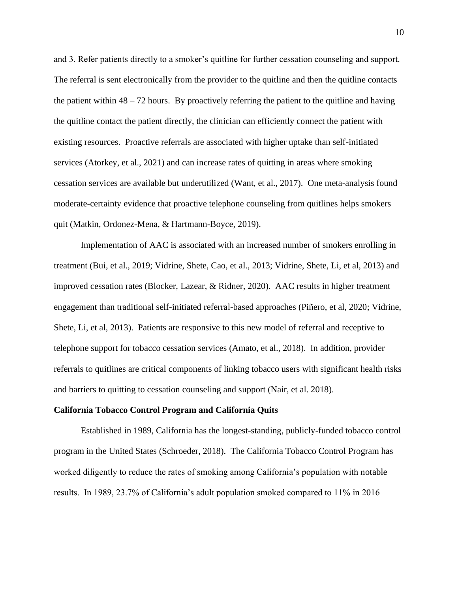and 3. Refer patients directly to a smoker's quitline for further cessation counseling and support. The referral is sent electronically from the provider to the quitline and then the quitline contacts the patient within  $48 - 72$  hours. By proactively referring the patient to the quitline and having the quitline contact the patient directly, the clinician can efficiently connect the patient with existing resources. Proactive referrals are associated with higher uptake than self-initiated services (Atorkey, et al., 2021) and can increase rates of quitting in areas where smoking cessation services are available but underutilized (Want, et al., 2017). One meta-analysis found moderate-certainty evidence that proactive telephone counseling from quitlines helps smokers quit (Matkin, Ordonez-Mena, & Hartmann-Boyce, 2019).

Implementation of AAC is associated with an increased number of smokers enrolling in treatment (Bui, et al., 2019; Vidrine, Shete, Cao, et al., 2013; Vidrine, Shete, Li, et al, 2013) and improved cessation rates (Blocker, Lazear, & Ridner, 2020). AAC results in higher treatment engagement than traditional self-initiated referral-based approaches (Piñero, et al, 2020; Vidrine, Shete, Li, et al, 2013). Patients are responsive to this new model of referral and receptive to telephone support for tobacco cessation services (Amato, et al., 2018). In addition, provider referrals to quitlines are critical components of linking tobacco users with significant health risks and barriers to quitting to cessation counseling and support (Nair, et al. 2018).

#### **California Tobacco Control Program and California Quits**

Established in 1989, California has the longest-standing, publicly-funded tobacco control program in the United States (Schroeder, 2018). The California Tobacco Control Program has worked diligently to reduce the rates of smoking among California's population with notable results. In 1989, 23.7% of California's adult population smoked compared to 11% in 2016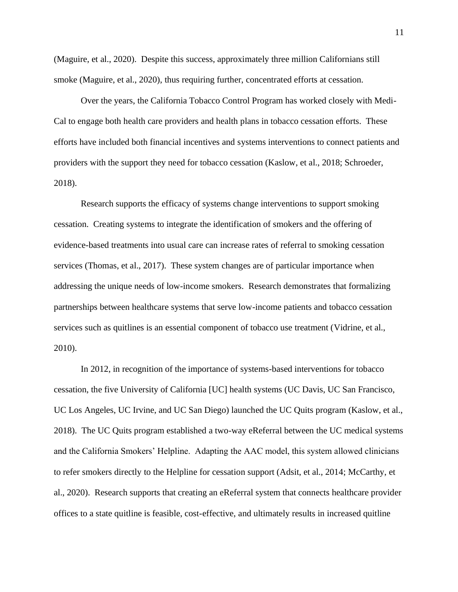(Maguire, et al., 2020). Despite this success, approximately three million Californians still smoke (Maguire, et al., 2020), thus requiring further, concentrated efforts at cessation.

Over the years, the California Tobacco Control Program has worked closely with Medi-Cal to engage both health care providers and health plans in tobacco cessation efforts. These efforts have included both financial incentives and systems interventions to connect patients and providers with the support they need for tobacco cessation (Kaslow, et al., 2018; Schroeder, 2018).

Research supports the efficacy of systems change interventions to support smoking cessation. Creating systems to integrate the identification of smokers and the offering of evidence-based treatments into usual care can increase rates of referral to smoking cessation services (Thomas, et al., 2017). These system changes are of particular importance when addressing the unique needs of low-income smokers. Research demonstrates that formalizing partnerships between healthcare systems that serve low-income patients and tobacco cessation services such as quitlines is an essential component of tobacco use treatment (Vidrine, et al., 2010).

In 2012, in recognition of the importance of systems-based interventions for tobacco cessation, the five University of California [UC] health systems (UC Davis, UC San Francisco, UC Los Angeles, UC Irvine, and UC San Diego) launched the UC Quits program (Kaslow, et al., 2018). The UC Quits program established a two-way eReferral between the UC medical systems and the California Smokers' Helpline. Adapting the AAC model, this system allowed clinicians to refer smokers directly to the Helpline for cessation support (Adsit, et al., 2014; McCarthy, et al., 2020). Research supports that creating an eReferral system that connects healthcare provider offices to a state quitline is feasible, cost-effective, and ultimately results in increased quitline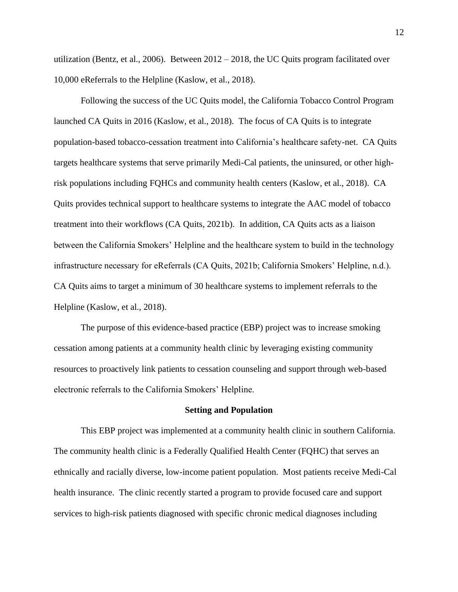utilization (Bentz, et al., 2006). Between 2012 – 2018, the UC Quits program facilitated over 10,000 eReferrals to the Helpline (Kaslow, et al., 2018).

Following the success of the UC Quits model, the California Tobacco Control Program launched CA Quits in 2016 (Kaslow, et al., 2018). The focus of CA Quits is to integrate population-based tobacco-cessation treatment into California's healthcare safety-net. CA Quits targets healthcare systems that serve primarily Medi-Cal patients, the uninsured, or other highrisk populations including FQHCs and community health centers (Kaslow, et al., 2018). CA Quits provides technical support to healthcare systems to integrate the AAC model of tobacco treatment into their workflows (CA Quits, 2021b). In addition, CA Quits acts as a liaison between the California Smokers' Helpline and the healthcare system to build in the technology infrastructure necessary for eReferrals (CA Quits, 2021b; California Smokers' Helpline, n.d.). CA Quits aims to target a minimum of 30 healthcare systems to implement referrals to the Helpline (Kaslow, et al., 2018).

The purpose of this evidence-based practice (EBP) project was to increase smoking cessation among patients at a community health clinic by leveraging existing community resources to proactively link patients to cessation counseling and support through web-based electronic referrals to the California Smokers' Helpline.

# **Setting and Population**

This EBP project was implemented at a community health clinic in southern California. The community health clinic is a Federally Qualified Health Center (FQHC) that serves an ethnically and racially diverse, low-income patient population. Most patients receive Medi-Cal health insurance. The clinic recently started a program to provide focused care and support services to high-risk patients diagnosed with specific chronic medical diagnoses including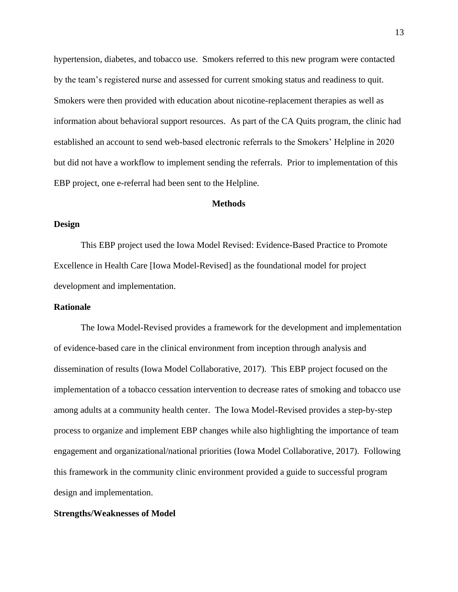hypertension, diabetes, and tobacco use. Smokers referred to this new program were contacted by the team's registered nurse and assessed for current smoking status and readiness to quit. Smokers were then provided with education about nicotine-replacement therapies as well as information about behavioral support resources. As part of the CA Quits program, the clinic had established an account to send web-based electronic referrals to the Smokers' Helpline in 2020 but did not have a workflow to implement sending the referrals. Prior to implementation of this EBP project, one e-referral had been sent to the Helpline.

#### **Methods**

# **Design**

This EBP project used the Iowa Model Revised: Evidence-Based Practice to Promote Excellence in Health Care [Iowa Model-Revised] as the foundational model for project development and implementation.

### **Rationale**

The Iowa Model-Revised provides a framework for the development and implementation of evidence-based care in the clinical environment from inception through analysis and dissemination of results (Iowa Model Collaborative, 2017). This EBP project focused on the implementation of a tobacco cessation intervention to decrease rates of smoking and tobacco use among adults at a community health center. The Iowa Model-Revised provides a step-by-step process to organize and implement EBP changes while also highlighting the importance of team engagement and organizational/national priorities (Iowa Model Collaborative, 2017). Following this framework in the community clinic environment provided a guide to successful program design and implementation.

# **Strengths/Weaknesses of Model**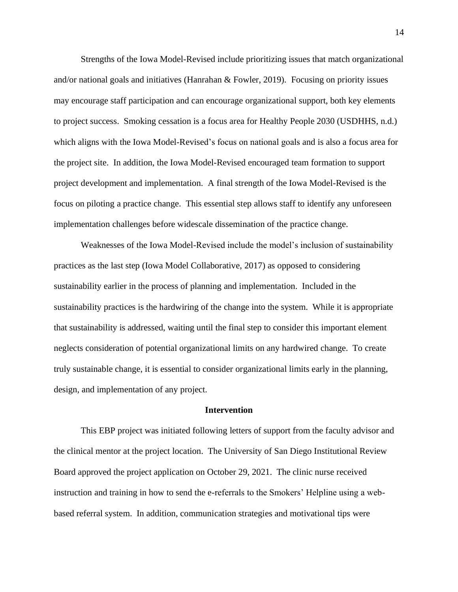Strengths of the Iowa Model-Revised include prioritizing issues that match organizational and/or national goals and initiatives (Hanrahan  $\&$  Fowler, 2019). Focusing on priority issues may encourage staff participation and can encourage organizational support, both key elements to project success. Smoking cessation is a focus area for Healthy People 2030 (USDHHS, n.d.) which aligns with the Iowa Model-Revised's focus on national goals and is also a focus area for the project site. In addition, the Iowa Model-Revised encouraged team formation to support project development and implementation. A final strength of the Iowa Model-Revised is the focus on piloting a practice change. This essential step allows staff to identify any unforeseen implementation challenges before widescale dissemination of the practice change.

Weaknesses of the Iowa Model-Revised include the model's inclusion of sustainability practices as the last step (Iowa Model Collaborative, 2017) as opposed to considering sustainability earlier in the process of planning and implementation. Included in the sustainability practices is the hardwiring of the change into the system. While it is appropriate that sustainability is addressed, waiting until the final step to consider this important element neglects consideration of potential organizational limits on any hardwired change. To create truly sustainable change, it is essential to consider organizational limits early in the planning, design, and implementation of any project.

### **Intervention**

This EBP project was initiated following letters of support from the faculty advisor and the clinical mentor at the project location. The University of San Diego Institutional Review Board approved the project application on October 29, 2021. The clinic nurse received instruction and training in how to send the e-referrals to the Smokers' Helpline using a webbased referral system. In addition, communication strategies and motivational tips were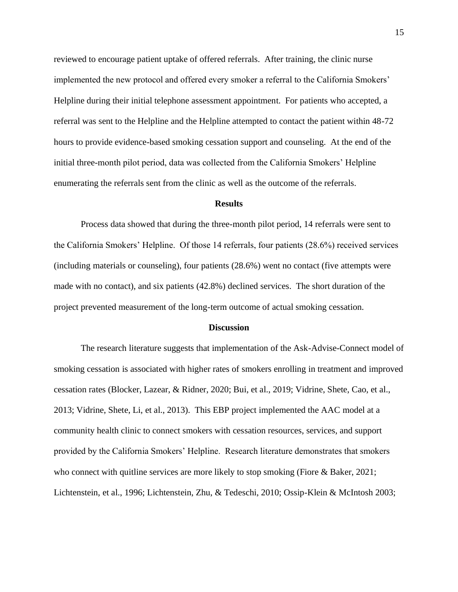reviewed to encourage patient uptake of offered referrals. After training, the clinic nurse implemented the new protocol and offered every smoker a referral to the California Smokers' Helpline during their initial telephone assessment appointment. For patients who accepted, a referral was sent to the Helpline and the Helpline attempted to contact the patient within 48-72 hours to provide evidence-based smoking cessation support and counseling. At the end of the initial three-month pilot period, data was collected from the California Smokers' Helpline enumerating the referrals sent from the clinic as well as the outcome of the referrals.

#### **Results**

Process data showed that during the three-month pilot period, 14 referrals were sent to the California Smokers' Helpline. Of those 14 referrals, four patients (28.6%) received services (including materials or counseling), four patients (28.6%) went no contact (five attempts were made with no contact), and six patients (42.8%) declined services. The short duration of the project prevented measurement of the long-term outcome of actual smoking cessation.

#### **Discussion**

The research literature suggests that implementation of the Ask-Advise-Connect model of smoking cessation is associated with higher rates of smokers enrolling in treatment and improved cessation rates (Blocker, Lazear, & Ridner, 2020; Bui, et al., 2019; Vidrine, Shete, Cao, et al., 2013; Vidrine, Shete, Li, et al., 2013). This EBP project implemented the AAC model at a community health clinic to connect smokers with cessation resources, services, and support provided by the California Smokers' Helpline. Research literature demonstrates that smokers who connect with quitline services are more likely to stop smoking (Fiore & Baker, 2021; Lichtenstein, et al., 1996; Lichtenstein, Zhu, & Tedeschi, 2010; Ossip-Klein & McIntosh 2003;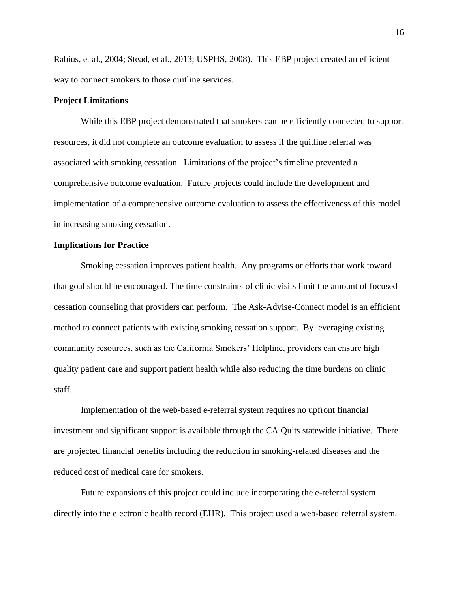Rabius, et al., 2004; Stead, et al., 2013; USPHS, 2008). This EBP project created an efficient way to connect smokers to those quitline services.

# **Project Limitations**

While this EBP project demonstrated that smokers can be efficiently connected to support resources, it did not complete an outcome evaluation to assess if the quitline referral was associated with smoking cessation. Limitations of the project's timeline prevented a comprehensive outcome evaluation. Future projects could include the development and implementation of a comprehensive outcome evaluation to assess the effectiveness of this model in increasing smoking cessation.

# **Implications for Practice**

Smoking cessation improves patient health. Any programs or efforts that work toward that goal should be encouraged. The time constraints of clinic visits limit the amount of focused cessation counseling that providers can perform. The Ask-Advise-Connect model is an efficient method to connect patients with existing smoking cessation support. By leveraging existing community resources, such as the California Smokers' Helpline, providers can ensure high quality patient care and support patient health while also reducing the time burdens on clinic staff.

Implementation of the web-based e-referral system requires no upfront financial investment and significant support is available through the CA Quits statewide initiative. There are projected financial benefits including the reduction in smoking-related diseases and the reduced cost of medical care for smokers.

Future expansions of this project could include incorporating the e-referral system directly into the electronic health record (EHR). This project used a web-based referral system.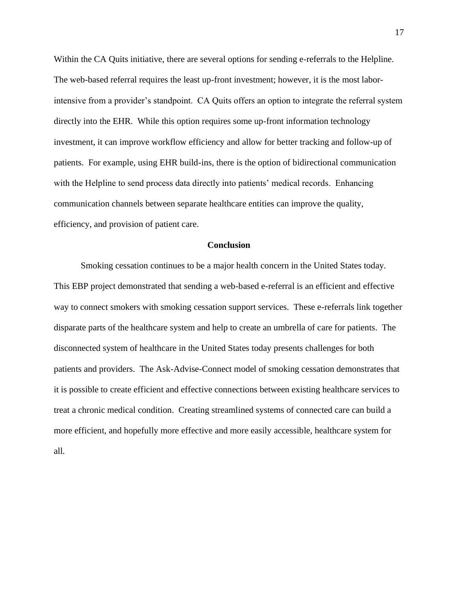Within the CA Quits initiative, there are several options for sending e-referrals to the Helpline. The web-based referral requires the least up-front investment; however, it is the most laborintensive from a provider's standpoint. CA Quits offers an option to integrate the referral system directly into the EHR. While this option requires some up-front information technology investment, it can improve workflow efficiency and allow for better tracking and follow-up of patients. For example, using EHR build-ins, there is the option of bidirectional communication with the Helpline to send process data directly into patients' medical records. Enhancing communication channels between separate healthcare entities can improve the quality, efficiency, and provision of patient care.

#### **Conclusion**

Smoking cessation continues to be a major health concern in the United States today. This EBP project demonstrated that sending a web-based e-referral is an efficient and effective way to connect smokers with smoking cessation support services. These e-referrals link together disparate parts of the healthcare system and help to create an umbrella of care for patients. The disconnected system of healthcare in the United States today presents challenges for both patients and providers. The Ask-Advise-Connect model of smoking cessation demonstrates that it is possible to create efficient and effective connections between existing healthcare services to treat a chronic medical condition. Creating streamlined systems of connected care can build a more efficient, and hopefully more effective and more easily accessible, healthcare system for all.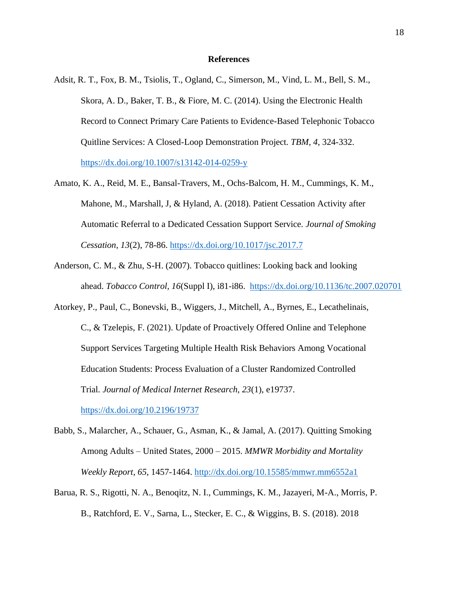### **References**

- Adsit, R. T., Fox, B. M., Tsiolis, T., Ogland, C., Simerson, M., Vind, L. M., Bell, S. M., Skora, A. D., Baker, T. B., & Fiore, M. C. (2014). Using the Electronic Health Record to Connect Primary Care Patients to Evidence-Based Telephonic Tobacco Quitline Services: A Closed-Loop Demonstration Project. *TBM, 4*, 324-332. [https://dx.doi.org/10.1007/s13142-014-0259-y](about:blank)
- Amato, K. A., Reid, M. E., Bansal-Travers, M., Ochs-Balcom, H. M., Cummings, K. M., Mahone, M., Marshall, J, & Hyland, A. (2018). Patient Cessation Activity after Automatic Referral to a Dedicated Cessation Support Service. *Journal of Smoking Cessation, 13*(2), 78-86. [https://dx.doi.org/10.1017/jsc.2017.7](about:blank)
- Anderson, C. M., & Zhu, S-H. (2007). Tobacco quitlines: Looking back and looking ahead. *Tobacco Control, 16*(Suppl I), i81-i86. https://dx.doi.org/10.1136/tc.2007.020701
- Atorkey, P., Paul, C., Bonevski, B., Wiggers, J., Mitchell, A., Byrnes, E., Lecathelinais, C., & Tzelepis, F. (2021). Update of Proactively Offered Online and Telephone Support Services Targeting Multiple Health Risk Behaviors Among Vocational Education Students: Process Evaluation of a Cluster Randomized Controlled Trial. *Journal of Medical Internet Research, 23*(1), e19737.

[https://dx.doi.org/10.2196/19737](about:blank)

- Babb, S., Malarcher, A., Schauer, G., Asman, K., & Jamal, A. (2017). Quitting Smoking Among Adults – United States, 2000 – 2015. *MMWR Morbidity and Mortality Weekly Report*, *65*, 1457-1464. [http://dx.doi.org/10.15585/mmwr.mm6552a1](about:blank)
- Barua, R. S., Rigotti, N. A., Benoqitz, N. I., Cummings, K. M., Jazayeri, M-A., Morris, P. B., Ratchford, E. V., Sarna, L., Stecker, E. C., & Wiggins, B. S. (2018). 2018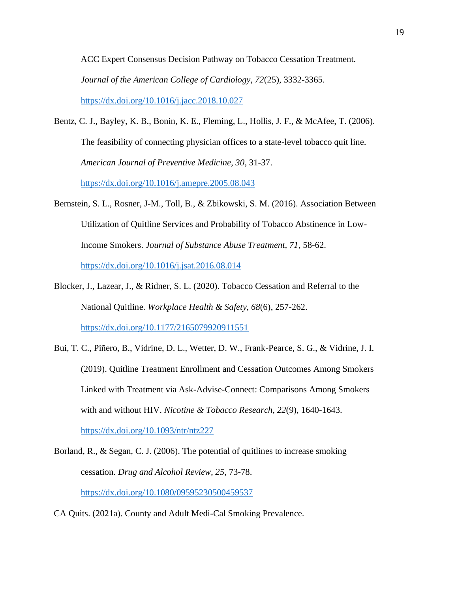ACC Expert Consensus Decision Pathway on Tobacco Cessation Treatment. *Journal of the American College of Cardiology, 72*(25), 3332-3365. [https://dx.doi.org/10.1016/j.jacc.2018.10.027](about:blank)

Bentz, C. J., Bayley, K. B., Bonin, K. E., Fleming, L., Hollis, J. F., & McAfee, T. (2006). The feasibility of connecting physician offices to a state-level tobacco quit line. *American Journal of Preventive Medicine, 30*, 31-37.

[https://dx.doi.org/10.1016/j.amepre.2005.08.043](about:blank)

- Bernstein, S. L., Rosner, J-M., Toll, B., & Zbikowski, S. M. (2016). Association Between Utilization of Quitline Services and Probability of Tobacco Abstinence in Low-Income Smokers. *Journal of Substance Abuse Treatment, 71*, 58-62. [https://dx.doi.org/10.1016/j.jsat.2016.08.014](about:blank)
- Blocker, J., Lazear, J., & Ridner, S. L. (2020). Tobacco Cessation and Referral to the National Quitline. *Workplace Health & Safety, 68*(6), 257-262. [https://dx.doi.org/10.1177/2165079920911551](about:blank)
- Bui, T. C., Piñero, B., Vidrine, D. L., Wetter, D. W., Frank-Pearce, S. G., & Vidrine, J. I. (2019). Quitline Treatment Enrollment and Cessation Outcomes Among Smokers Linked with Treatment via Ask-Advise-Connect: Comparisons Among Smokers with and without HIV. *Nicotine & Tobacco Research, 22*(9), 1640-1643. [https://dx.doi.org/10.1093/ntr/ntz227](about:blank)
- Borland, R., & Segan, C. J. (2006). The potential of quitlines to increase smoking cessation. *Drug and Alcohol Review, 25*, 73-78. [https://dx.doi.org/10.1080/09595230500459537](about:blank)
- CA Quits. (2021a). County and Adult Medi-Cal Smoking Prevalence.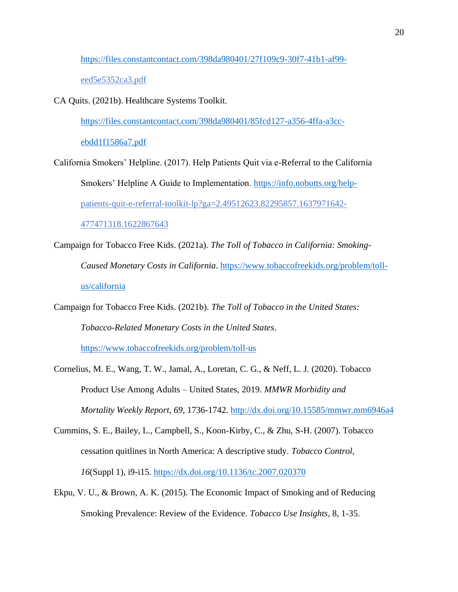[https://files.constantcontact.com/398da980401/27f109c9-30f7-41b1-af99](about:blank) eed5e5352ca3.pdf

CA Quits. (2021b). Healthcare Systems Toolkit.

[https://files.constantcontact.com/398da980401/85fcd127-a356-4ffa-a3cc-](about:blank)

[ebdd1f1586a7.pdf](about:blank)

California Smokers' Helpline. (2017). Help Patients Quit via e-Referral to the California Smokers' Helpline A Guide to Implementation. [https://info.nobutts.org/help](about:blank)patients-quit-e-referral-toolkit-lp?ga=2.49512623.82295857.1637971642- 477471318.1622867643

Campaign for Tobacco Free Kids. (2021a). *The Toll of Tobacco in California: Smoking-Caused Monetary Costs in California*. [https://www.tobaccofreekids.org/problem/toll](about:blank)[us/california](about:blank)

Campaign for Tobacco Free Kids. (2021b). *The Toll of Tobacco in the United States: Tobacco-Related Monetary Costs in the United States*.

[https://www.tobaccofreekids.org/problem/toll-us](about:blank)

- Cornelius, M. E., Wang, T. W., Jamal, A., Loretan, C. G., & Neff, L. J. (2020). Tobacco Product Use Among Adults – United States, 2019. *MMWR Morbidity and Mortality Weekly Report*, *69*, 1736-1742. [http://dx.doi.org/10.15585/mmwr.mm6946a4](about:blank)
- Cummins, S. E., Bailey, L., Campbell, S., Koon-Kirby, C., & Zhu, S-H. (2007). Tobacco cessation quitlines in North America: A descriptive study. *Tobacco Control, 16*(Suppl 1), i9-i15. [https://dx.doi.org/10.1136/tc.2007.020370](about:blank)
- Ekpu, V. U., & Brown, A. K. (2015). The Economic Impact of Smoking and of Reducing Smoking Prevalence: Review of the Evidence. *Tobacco Use Insights*, 8, 1-35.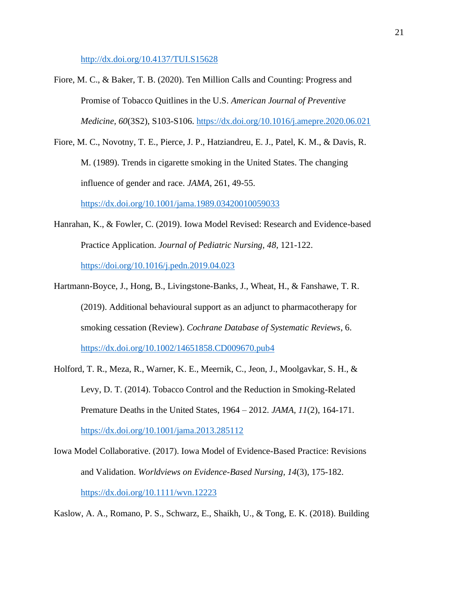[http://dx.doi.org/10.4137/TUI.S15628](about:blank)

- Fiore, M. C., & Baker, T. B. (2020). Ten Million Calls and Counting: Progress and Promise of Tobacco Quitlines in the U.S. *American Journal of Preventive Medicine, 60*(3S2), S103-S106. [https://dx.doi.org/10.1016/j.amepre.2020.06.021](about:blank)
- Fiore, M. C., Novotny, T. E., Pierce, J. P., Hatziandreu, E. J., Patel, K. M., & Davis, R. M. (1989). Trends in cigarette smoking in the United States. The changing influence of gender and race. *JAMA*, 261, 49-55. [https://dx.doi.org/10.1001/jama.1989.03420010059033](about:blank)
- Hanrahan, K., & Fowler, C. (2019). Iowa Model Revised: Research and Evidence-based Practice Application. *Journal of Pediatric Nursing, 48*, 121-122. [https://doi.org/10.1016/j.pedn.2019.04.023](about:blank)
- Hartmann-Boyce, J., Hong, B., Livingstone-Banks, J., Wheat, H., & Fanshawe, T. R. (2019). Additional behavioural support as an adjunct to pharmacotherapy for smoking cessation (Review). *Cochrane Database of Systematic Reviews*, 6. [https://dx.doi.org/10.1002/14651858.CD009670.pub4](about:blank)
- Holford, T. R., Meza, R., Warner, K. E., Meernik, C., Jeon, J., Moolgavkar, S. H., & Levy, D. T. (2014). Tobacco Control and the Reduction in Smoking-Related Premature Deaths in the United States, 1964 – 2012. *JAMA, 11*(2), 164-171. [https://dx.doi.org/10.1001/jama.2013.285112](about:blank)
- Iowa Model Collaborative. (2017). Iowa Model of Evidence-Based Practice: Revisions and Validation. *Worldviews on Evidence-Based Nursing, 14*(3), 175-182. [https://dx.doi.org/10.1111/wvn.12223](about:blank)

Kaslow, A. A., Romano, P. S., Schwarz, E., Shaikh, U., & Tong, E. K. (2018). Building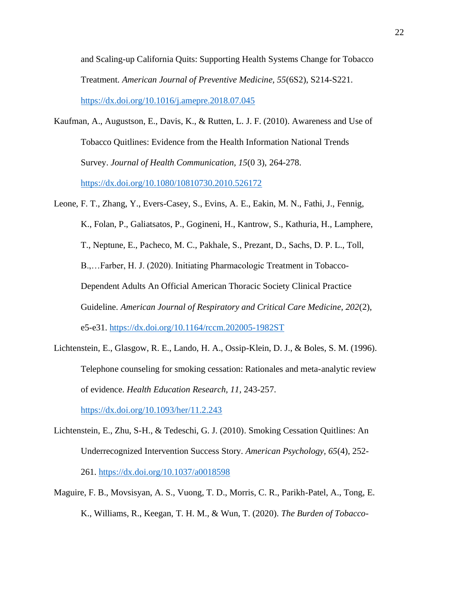and Scaling-up California Quits: Supporting Health Systems Change for Tobacco Treatment. *American Journal of Preventive Medicine, 55*(6S2), S214-S221. [https://dx.doi.org/10.1016/j.amepre.2018.07.045](about:blank)

- Kaufman, A., Augustson, E., Davis, K., & Rutten, L. J. F. (2010). Awareness and Use of Tobacco Quitlines: Evidence from the Health Information National Trends Survey. *Journal of Health Communication, 15*(0 3), 264-278. [https://dx.doi.org/10.1080/10810730.2010.526172](about:blank)
- Leone, F. T., Zhang, Y., Evers-Casey, S., Evins, A. E., Eakin, M. N., Fathi, J., Fennig, K., Folan, P., Galiatsatos, P., Gogineni, H., Kantrow, S., Kathuria, H., Lamphere, T., Neptune, E., Pacheco, M. C., Pakhale, S., Prezant, D., Sachs, D. P. L., Toll, B.,…Farber, H. J. (2020). Initiating Pharmacologic Treatment in Tobacco-Dependent Adults An Official American Thoracic Society Clinical Practice Guideline. *American Journal of Respiratory and Critical Care Medicine, 202*(2), e5-e31. [https://dx.doi.org/10.1164/rccm.202005-1982ST](about:blank)
- Lichtenstein, E., Glasgow, R. E., Lando, H. A., Ossip-Klein, D. J., & Boles, S. M. (1996). Telephone counseling for smoking cessation: Rationales and meta-analytic review of evidence. *Health Education Research, 11,* 243-257.

[https://dx.doi.org/10.1093/her/11.2.243](about:blank)

- Lichtenstein, E., Zhu, S-H., & Tedeschi, G. J. (2010). Smoking Cessation Quitlines: An Underrecognized Intervention Success Story. *American Psychology, 65*(4), 252- 261. [https://dx.doi.org/10.1037/a0018598](about:blank)
- Maguire, F. B., Movsisyan, A. S., Vuong, T. D., Morris, C. R., Parikh-Patel, A., Tong, E. K., Williams, R., Keegan, T. H. M., & Wun, T. (2020). *The Burden of Tobacco-*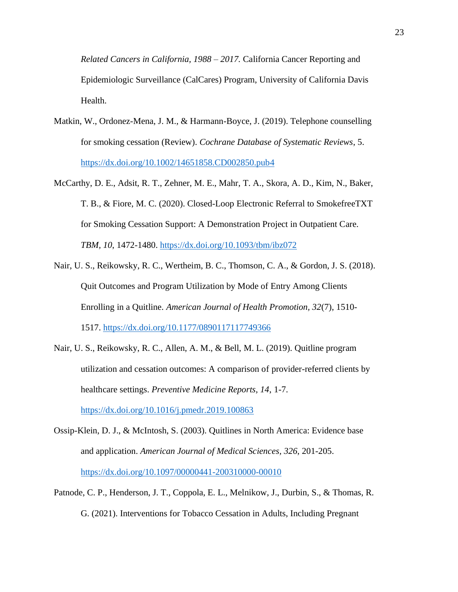*Related Cancers in California, 1988 – 2017.* California Cancer Reporting and Epidemiologic Surveillance (CalCares) Program, University of California Davis Health.

- Matkin, W., Ordonez-Mena, J. M., & Harmann-Boyce, J. (2019). Telephone counselling for smoking cessation (Review). *Cochrane Database of Systematic Reviews*, 5. [https://dx.doi.org/10.1002/14651858.CD002850.pub4](about:blank)
- McCarthy, D. E., Adsit, R. T., Zehner, M. E., Mahr, T. A., Skora, A. D., Kim, N., Baker, T. B., & Fiore, M. C. (2020). Closed-Loop Electronic Referral to SmokefreeTXT for Smoking Cessation Support: A Demonstration Project in Outpatient Care. *TBM, 10*, 1472-1480. [https://dx.doi.org/10.1093/tbm/ibz072](about:blank)
- Nair, U. S., Reikowsky, R. C., Wertheim, B. C., Thomson, C. A., & Gordon, J. S. (2018). Quit Outcomes and Program Utilization by Mode of Entry Among Clients Enrolling in a Quitline. *American Journal of Health Promotion, 32*(7), 1510- 1517. [https://dx.doi.org/10.1177/0890117117749366](about:blank)
- Nair, U. S., Reikowsky, R. C., Allen, A. M., & Bell, M. L. (2019). Quitline program utilization and cessation outcomes: A comparison of provider-referred clients by healthcare settings. *Preventive Medicine Reports, 14*, 1-7. [https://dx.doi.org/10.1016/j.pmedr.2019.100863](about:blank)

Ossip-Klein, D. J., & McIntosh, S. (2003). Quitlines in North America: Evidence base and application. *American Journal of Medical Sciences, 326*, 201-205. [https://dx.doi.org/10.1097/00000441-200310000-00010](about:blank)

Patnode, C. P., Henderson, J. T., Coppola, E. L., Melnikow, J., Durbin, S., & Thomas, R. G. (2021). Interventions for Tobacco Cessation in Adults, Including Pregnant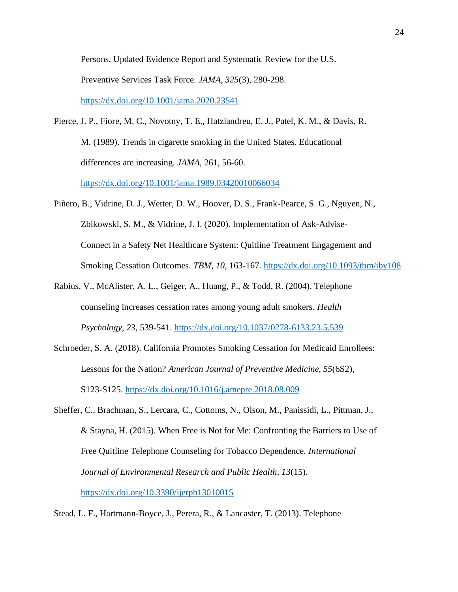Persons. Updated Evidence Report and Systematic Review for the U.S. Preventive Services Task Force. *JAMA, 325*(3), 280-298. [https://dx.doi.org/10.1001/jama.2020.23541](about:blank)

- Pierce, J. P., Fiore, M. C., Novotny, T. E., Hatziandreu, E. J., Patel, K. M., & Davis, R. M. (1989). Trends in cigarette smoking in the United States. Educational differences are increasing. *JAMA*, 261, 56-60. [https://dx.doi.org/10.1001/jama.1989.03420010066034](about:blank)
- Piñero, B., Vidrine, D. J., Wetter, D. W., Hoover, D. S., Frank-Pearce, S. G., Nguyen, N., Zbikowski, S. M., & Vidrine, J. I. (2020). Implementation of Ask-Advise-Connect in a Safety Net Healthcare System: Quitline Treatment Engagement and Smoking Cessation Outcomes. *TBM, 10*, 163-167. [https://dx.doi.org/10.1093/tbm/iby108](about:blank)
- Rabius, V., McAlister, A. L., Geiger, A., Huang, P., & Todd, R. (2004). Telephone counseling increases cessation rates among young adult smokers. *Health Psychology, 23*, 539-541. [https://dx.doi.org/10.1037/0278-6133.23.5.539](about:blank)
- Schroeder, S. A. (2018). California Promotes Smoking Cessation for Medicaid Enrollees: Lessons for the Nation? *American Journal of Preventive Medicine, 55*(6S2), S123-S125. [https://dx.doi.org/10.1016/j.amepre.2018.08.009](about:blank)
- Sheffer, C., Brachman, S., Lercara, C., Cottoms, N., Olson, M., Panissidi, L., Pittman, J., & Stayna, H. (2015). When Free is Not for Me: Confronting the Barriers to Use of Free Quitline Telephone Counseling for Tobacco Dependence. *International Journal of Environmental Research and Public Health, 13*(15). [https://dx.doi.org/10.3390/ijerph13010015](about:blank)
- Stead, L. F., Hartmann-Boyce, J., Perera, R., & Lancaster, T. (2013). Telephone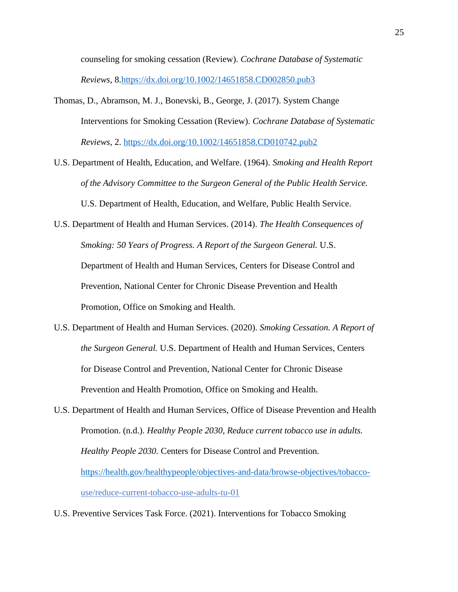counseling for smoking cessation (Review). *Cochrane Database of Systematic Reviews*, 8[.https://dx.doi.org/10.1002/14651858.CD002850.pub3](about:blank)

- Thomas, D., Abramson, M. J., Bonevski, B., George, J. (2017). System Change Interventions for Smoking Cessation (Review). *Cochrane Database of Systematic Reviews*, 2. [https://dx.doi.org/10.1002/14651858.CD010742.pub2](about:blank)
- U.S. Department of Health, Education, and Welfare. (1964). *Smoking and Health Report of the Advisory Committee to the Surgeon General of the Public Health Service.* U.S. Department of Health, Education, and Welfare, Public Health Service.

U.S. Department of Health and Human Services. (2014). *The Health Consequences of Smoking: 50 Years of Progress. A Report of the Surgeon General.* U.S. Department of Health and Human Services, Centers for Disease Control and Prevention, National Center for Chronic Disease Prevention and Health Promotion, Office on Smoking and Health.

- U.S. Department of Health and Human Services. (2020). *Smoking Cessation. A Report of the Surgeon General.* U.S. Department of Health and Human Services, Centers for Disease Control and Prevention, National Center for Chronic Disease Prevention and Health Promotion, Office on Smoking and Health.
- U.S. Department of Health and Human Services, Office of Disease Prevention and Health Promotion. (n.d.). *Healthy People 2030, Reduce current tobacco use in adults. Healthy People 2030.* Centers for Disease Control and Prevention. [https://health.gov/healthypeople/objectives-and-data/browse-objectives/tobacco](about:blank)use/reduce-current-tobacco-use-adults-tu-01
- U.S. Preventive Services Task Force. (2021). Interventions for Tobacco Smoking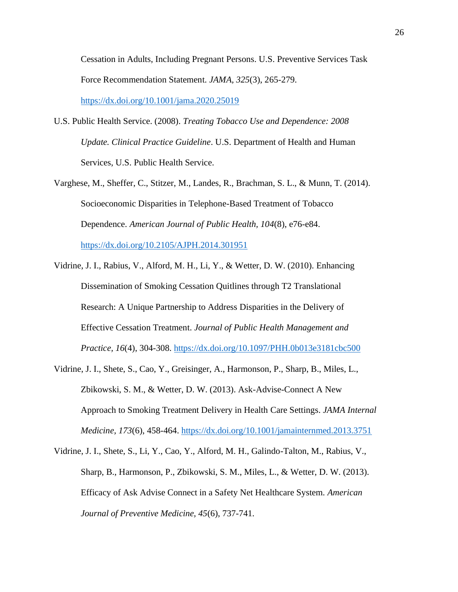Cessation in Adults, Including Pregnant Persons. U.S. Preventive Services Task Force Recommendation Statement. *JAMA, 325*(3), 265-279. [https://dx.doi.org/10.1001/jama.2020.25019](about:blank)

- U.S. Public Health Service. (2008). *Treating Tobacco Use and Dependence: 2008 Update. Clinical Practice Guideline*. U.S. Department of Health and Human Services, U.S. Public Health Service.
- Varghese, M., Sheffer, C., Stitzer, M., Landes, R., Brachman, S. L., & Munn, T. (2014). Socioeconomic Disparities in Telephone-Based Treatment of Tobacco Dependence. *American Journal of Public Health, 104*(8), e76-e84. [https://dx.doi.org/10.2105/AJPH.2014.301951](about:blank)
- Vidrine, J. I., Rabius, V., Alford, M. H., Li, Y., & Wetter, D. W. (2010). Enhancing Dissemination of Smoking Cessation Quitlines through T2 Translational Research: A Unique Partnership to Address Disparities in the Delivery of Effective Cessation Treatment. *Journal of Public Health Management and Practice, 16*(4), 304-308. [https://dx.doi.org/10.1097/PHH.0b013e3181cbc500](about:blank)
- Vidrine, J. I., Shete, S., Cao, Y., Greisinger, A., Harmonson, P., Sharp, B., Miles, L., Zbikowski, S. M., & Wetter, D. W. (2013). Ask-Advise-Connect A New Approach to Smoking Treatment Delivery in Health Care Settings. *JAMA Internal Medicine, 173*(6), 458-464. [https://dx.doi.org/10.1001/jamainternmed.2013.3751](about:blank)
- Vidrine, J. I., Shete, S., Li, Y., Cao, Y., Alford, M. H., Galindo-Talton, M., Rabius, V., Sharp, B., Harmonson, P., Zbikowski, S. M., Miles, L., & Wetter, D. W. (2013). Efficacy of Ask Advise Connect in a Safety Net Healthcare System. *American Journal of Preventive Medicine, 45*(6), 737-741.